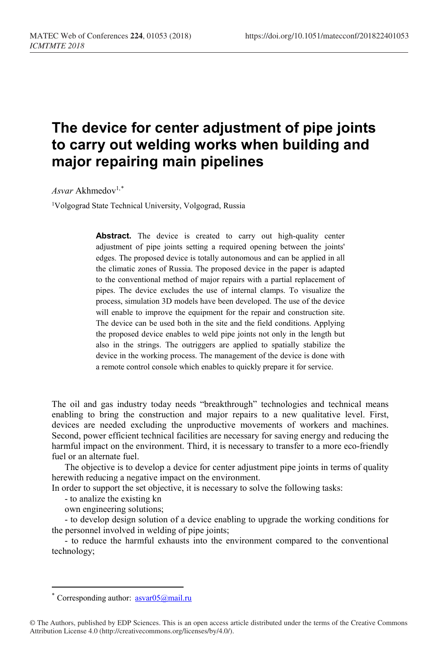## **The device for center adjustment of pipe joints to carry out welding works when building and major repairing main pipelines**

*Asvar* Akhmedov1,[\\*](#page-0-0)

1Volgograd State Technical University, Volgograd, Russia

Abstract. The device is created to carry out high-quality center adjustment of pipe joints setting a required opening between the joints' edges. The proposed device is totally autonomous and can be applied in all the climatic zones of Russia. The proposed device in the paper is adapted to the conventional method of major repairs with a partial replacement of pipes. The device excludes the use of internal clamps. To visualize the process, simulation 3D models have been developed. The use of the device will enable to improve the equipment for the repair and construction site. The device can be used both in the site and the field conditions. Applying the proposed device enables to weld pipe joints not only in the length but also in the strings. The outriggers are applied to spatially stabilize the device in the working process. The management of the device is done with a remote control console which enables to quickly prepare it for service.

The oil and gas industry today needs "breakthrough" technologies and technical means enabling to bring the construction and major repairs to a new qualitative level. First, devices are needed excluding the unproductive movements of workers and machines. Second, power efficient technical facilities are necessary for saving energy and reducing the harmful impact on the environment. Third, it is necessary to transfer to a more eco-friendly fuel or an alternate fuel.

The objective is to develop a device for center adjustment pipe joints in terms of quality herewith reducing a negative impact on the environment.

In order to support the set objective, it is necessary to solve the following tasks:

- to analize the existing kn

own engineering solutions;

- to develop design solution of a device enabling to upgrade the working conditions for the personnel involved in welding of pipe joints;

- to reduce the harmful exhausts into the environment compared to the conventional technology;

 $\overline{a}$ 

Corresponding author:  $\frac{1}{\text{asvar}(0.5)}$ @mail.ru

<span id="page-0-0"></span><sup>©</sup> The Authors, published by EDP Sciences. This is an open access article distributed under the terms of the Creative Commons Attribution License 4.0 (http://creativecommons.org/licenses/by/4.0/).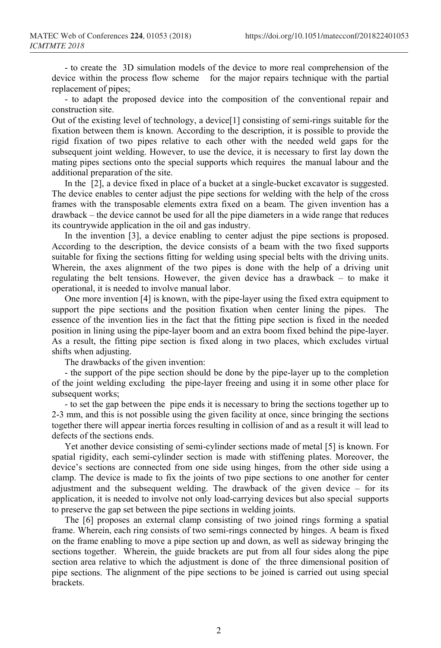- to create the 3D simulation models of the device to more real comprehension of the device within the process flow scheme for the major repairs technique with the partial replacement of pipes;

- to adapt the proposed device into the composition of the conventional repair and construction site.

Out of the existing level of technology, a device[1] consisting of semi-rings suitable for the fixation between them is known. According to the description, it is possible to provide the rigid fixation of two pipes relative to each other with the needed weld gaps for the subsequent joint welding. However, to use the device, it is necessary to first lay down the mating pipes sections onto the special supports which requires the manual labour and the additional preparation of the site.

In the [2], a device fixed in place of a bucket at a single-bucket excavator is suggested. The device enables to center adjust the pipe sections for welding with the help of the cross frames with the transposable elements extra fixed on a beam. The given invention has a drawback – the device cannot be used for all the pipe diameters in a wide range that reduces its countrywide application in the oil and gas industry.

In the invention [3], a device enabling to center adjust the pipe sections is proposed. According to the description, the device consists of a beam with the two fixed supports suitable for fixing the sections fitting for welding using special belts with the driving units. Wherein, the axes alignment of the two pipes is done with the help of a driving unit regulating the belt tensions. However, the given device has a drawback – to make it operational, it is needed to involve manual labor.

One more invention [4] is known, with the pipe-layer using the fixed extra equipment to support the pipe sections and the position fixation when center lining the pipes. The essence of the invention lies in the fact that the fitting pipe section is fixed in the needed position in lining using the pipe-layer boom and an extra boom fixed behind the pipe-layer. As a result, the fitting pipe section is fixed along in two places, which excludes virtual shifts when adjusting.

The drawbacks of the given invention:

- the support of the pipe section should be done by the pipe-layer up to the completion of the joint welding excluding the pipe-layer freeing and using it in some other place for subsequent works;

- to set the gap between the pipe ends it is necessary to bring the sections together up to 2-3 mm, and this is not possible using the given facility at once, since bringing the sections together there will appear inertia forces resulting in collision of and as a result it will lead to defects of the sections ends.

Yet another device consisting of semi-cylinder sections made of metal [5] is known. For spatial rigidity, each semi-cylinder section is made with stiffening plates. Moreover, the device's sections are connected from one side using hinges, from the other side using a clamp. The device is made to fix the joints of two pipe sections to one another for center adjustment and the subsequent welding. The drawback of the given device  $-$  for its application, it is needed to involve not only load-carrying devices but also special supports to preserve the gap set between the pipe sections in welding joints.

The [6] proposes an external clamp consisting of two joined rings forming a spatial frame. Wherein, each ring consists of two semi-rings connected by hinges. A beam is fixed on the frame enabling to move a pipe section up and down, as well as sideway bringing the sections together. Wherein, the guide brackets are put from all four sides along the pipe section area relative to which the adjustment is done of the three dimensional position of pipe sections. The alignment of the pipe sections to be joined is carried out using special brackets.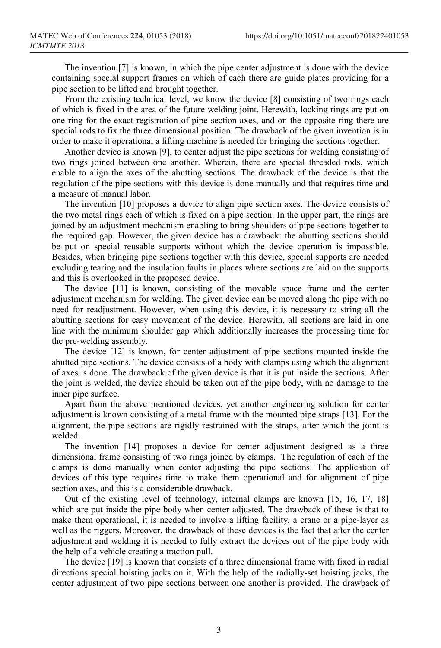The invention [7] is known, in which the pipe center adjustment is done with the device containing special support frames on which of each there are guide plates providing for a pipe section to be lifted and brought together.

From the existing technical level, we know the device [8] consisting of two rings each of which is fixed in the area of the future welding joint. Herewith, locking rings are put on one ring for the exact registration of pipe section axes, and on the opposite ring there are special rods to fix the three dimensional position. The drawback of the given invention is in order to make it operational a lifting machine is needed for bringing the sections together.

Another device is known [9], to center adjust the pipe sections for welding consisting of two rings joined between one another. Wherein, there are special threaded rods, which enable to align the axes of the abutting sections. The drawback of the device is that the regulation of the pipe sections with this device is done manually and that requires time and a measure of manual labor.

The invention [10] proposes a device to align pipe section axes. The device consists of the two metal rings each of which is fixed on a pipe section. In the upper part, the rings are joined by an adjustment mechanism enabling to bring shoulders of pipe sections together to the required gap. However, the given device has a drawback: the abutting sections should be put on special reusable supports without which the device operation is impossible. Besides, when bringing pipe sections together with this device, special supports are needed excluding tearing and the insulation faults in places where sections are laid on the supports and this is overlooked in the proposed device.

The device [11] is known, consisting of the movable space frame and the center adjustment mechanism for welding. The given device can be moved along the pipe with no need for readjustment. However, when using this device, it is necessary to string all the abutting sections for easy movement of the device. Herewith, all sections are laid in one line with the minimum shoulder gap which additionally increases the processing time for the pre-welding assembly.

The device [12] is known, for center adjustment of pipe sections mounted inside the abutted pipe sections. The device consists of a body with clamps using which the alignment of axes is done. The drawback of the given device is that it is put inside the sections. After the joint is welded, the device should be taken out of the pipe body, with no damage to the inner pipe surface.

Apart from the above mentioned devices, yet another engineering solution for center adjustment is known consisting of a metal frame with the mounted pipe straps [13]. For the alignment, the pipe sections are rigidly restrained with the straps, after which the joint is welded.

The invention [14] proposes a device for center adjustment designed as a three dimensional frame consisting of two rings joined by clamps. The regulation of each of the clamps is done manually when center adjusting the pipe sections. The application of devices of this type requires time to make them operational and for alignment of pipe section axes, and this is a considerable drawback.

Out of the existing level of technology, internal clamps are known [15, 16, 17, 18] which are put inside the pipe body when center adjusted. The drawback of these is that to make them operational, it is needed to involve a lifting facility, a crane or a pipe-layer as well as the riggers. Moreover, the drawback of these devices is the fact that after the center adjustment and welding it is needed to fully extract the devices out of the pipe body with the help of a vehicle creating a traction pull.

The device [19] is known that consists of a three dimensional frame with fixed in radial directions special hoisting jacks on it. With the help of the radially-set hoisting jacks, the center adjustment of two pipe sections between one another is provided. The drawback of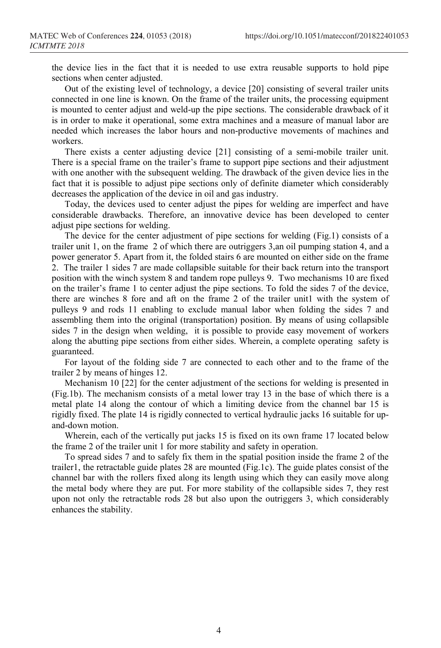the device lies in the fact that it is needed to use extra reusable supports to hold pipe sections when center adjusted.

Out of the existing level of technology, a device [20] consisting of several trailer units connected in one line is known. On the frame of the trailer units, the processing equipment is mounted to center adjust and weld-up the pipe sections. The considerable drawback of it is in order to make it operational, some extra machines and a measure of manual labor are needed which increases the labor hours and non-productive movements of machines and workers.

There exists a center adjusting device [21] consisting of a semi-mobile trailer unit. There is a special frame on the trailer's frame to support pipe sections and their adjustment with one another with the subsequent welding. The drawback of the given device lies in the fact that it is possible to adjust pipe sections only of definite diameter which considerably decreases the application of the device in oil and gas industry.

Today, the devices used to center adjust the pipes for welding are imperfect and have considerable drawbacks. Therefore, an innovative device has been developed to center adjust pipe sections for welding.

The device for the center adjustment of pipe sections for welding (Fig.1) consists of a trailer unit 1, on the frame 2 of which there are outriggers 3,an oil pumping station 4, and a power generator 5. Apart from it, the folded stairs 6 are mounted on either side on the frame 2. The trailer 1 sides 7 are made collapsible suitable for their back return into the transport position with the winch system 8 and tandem rope pulleys 9. Two mechanisms 10 are fixed on the trailer's frame 1 to center adjust the pipe sections. To fold the sides 7 of the device, there are winches 8 fore and aft on the frame 2 of the trailer unit1 with the system of pulleys 9 and rods 11 enabling to exclude manual labor when folding the sides 7 and assembling them into the original (transportation) position. By means of using collapsible sides 7 in the design when welding, it is possible to provide easy movement of workers along the abutting pipe sections from either sides. Wherein, a complete operating safety is guaranteed.

For layout of the folding side 7 are connected to each other and to the frame of the trailer 2 by means of hinges 12.

Mechanism 10 [22] for the center adjustment of the sections for welding is presented in (Fig.1b). The mechanism consists of a metal lower tray 13 in the base of which there is a metal plate 14 along the contour of which a limiting device from the channel bar 15 is rigidly fixed. The plate 14 is rigidly connected to vertical hydraulic jacks 16 suitable for upand-down motion.

Wherein, each of the vertically put jacks 15 is fixed on its own frame 17 located below the frame 2 of the trailer unit 1 for more stability and safety in operation.

To spread sides 7 and to safely fix them in the spatial position inside the frame 2 of the trailer1, the retractable guide plates 28 are mounted (Fig.1c). The guide plates consist of the channel bar with the rollers fixed along its length using which they can easily move along the metal body where they are put. For more stability of the collapsible sides 7, they rest upon not only the retractable rods 28 but also upon the outriggers 3, which considerably enhances the stability.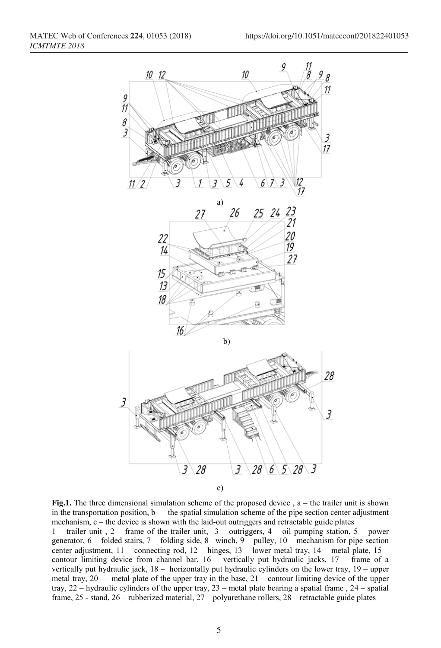

**Fig.1.** The three dimensional simulation scheme of the proposed device, a – the trailer unit is shown in the transportation position,  $b$  — the spatial simulation scheme of the pipe section center adjustment mechanism, c – the device is shown with the laid-out outriggers and retractable guide plates 1 – trailer unit , 2 – frame of the trailer unit, 3 – outriggers, 4 – oil pumping station, 5 – power generator,  $6 -$  folded stairs,  $7 -$  folding side,  $8 -$  winch,  $9 -$  pulley,  $10 -$  mechanism for pipe section center adjustment,  $11$  – connecting rod,  $12$  – hinges,  $13$  – lower metal tray,  $14$  – metal plate,  $15$  – contour limiting device from channel bar, 16 – vertically put hydraulic jacks, 17 – frame of a vertically put hydraulic jack, 18 – horizontally put hydraulic cylinders on the lower tray, 19 – upper metal tray, 20 — metal plate of the upper tray in the base, 21 – contour limiting device of the upper tray, 22 – hydraulic cylinders of the upper tray, 23 – metal plate bearing a spatial frame , 24 – spatial frame, 25 - stand, 26 – rubberized material, 27 – polyurethane rollers, 28 – retractable guide plates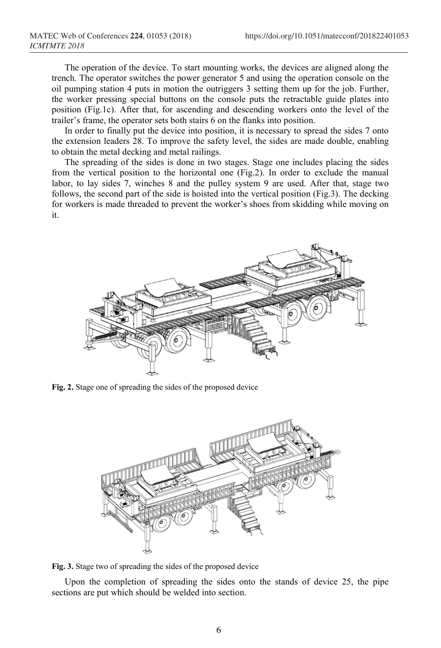The operation of the device. To start mounting works, the devices are aligned along the trench. The operator switches the power generator 5 and using the operation console on the oil pumping station 4 puts in motion the outriggers 3 setting them up for the job. Further, the worker pressing special buttons on the console puts the retractable guide plates into position (Fig.1c). After that, for ascending and descending workers onto the level of the trailer's frame, the operator sets both stairs 6 on the flanks into position.

In order to finally put the device into position, it is necessary to spread the sides 7 onto the extension leaders 28. To improve the safety level, the sides are made double, enabling to obtain the metal decking and metal railings.

The spreading of the sides is done in two stages. Stage one includes placing the sides from the vertical position to the horizontal one (Fig.2). In order to exclude the manual labor, to lay sides 7, winches 8 and the pulley system 9 are used. After that, stage two follows, the second part of the side is hoisted into the vertical position (Fig.3). The decking for workers is made threaded to prevent the worker's shoes from skidding while moving on it.



**Fig. 2.** Stage one of spreading the sides of the proposed device



**Fig. 3.** Stage two of spreading the sides of the proposed device

Upon the completion of spreading the sides onto the stands of device 25, the pipe sections are put which should be welded into section.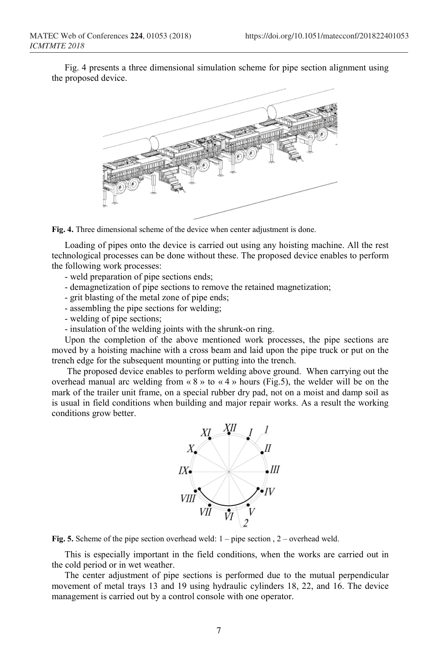Fig. 4 presents a three dimensional simulation scheme for pipe section alignment using the proposed device.



**Fig. 4.** Three dimensional scheme of the device when center adjustment is done.

Loading of pipes onto the device is carried out using any hoisting machine. All the rest technological processes can be done without these. The proposed device enables to perform the following work processes:

- weld preparation of pipe sections ends;
- demagnetization of pipe sections to remove the retained magnetization;
- grit blasting of the metal zone of pipe ends;
- assembling the pipe sections for welding;
- welding of pipe sections;
- insulation of the welding joints with the shrunk-on ring.

Upon the completion of the above mentioned work processes, the pipe sections are moved by a hoisting machine with a cross beam and laid upon the pipe truck or put on the trench edge for the subsequent mounting or putting into the trench.

The proposed device enables to perform welding above ground. When carrying out the overhead manual arc welding from  $\alpha$  8  $\alpha$  to  $\alpha$  4  $\alpha$  hours (Fig.5), the welder will be on the mark of the trailer unit frame, on a special rubber dry pad, not on a moist and damp soil as is usual in field conditions when building and major repair works. As a result the working conditions grow better.



**Fig. 5.** Scheme of the pipe section overhead weld: 1 – pipe section , 2 – overhead weld.

This is especially important in the field conditions, when the works are carried out in the cold period or in wet weather.

The center adjustment of pipe sections is performed due to the mutual perpendicular movement of metal trays 13 and 19 using hydraulic cylinders 18, 22, and 16. The device management is carried out by a control console with one operator.